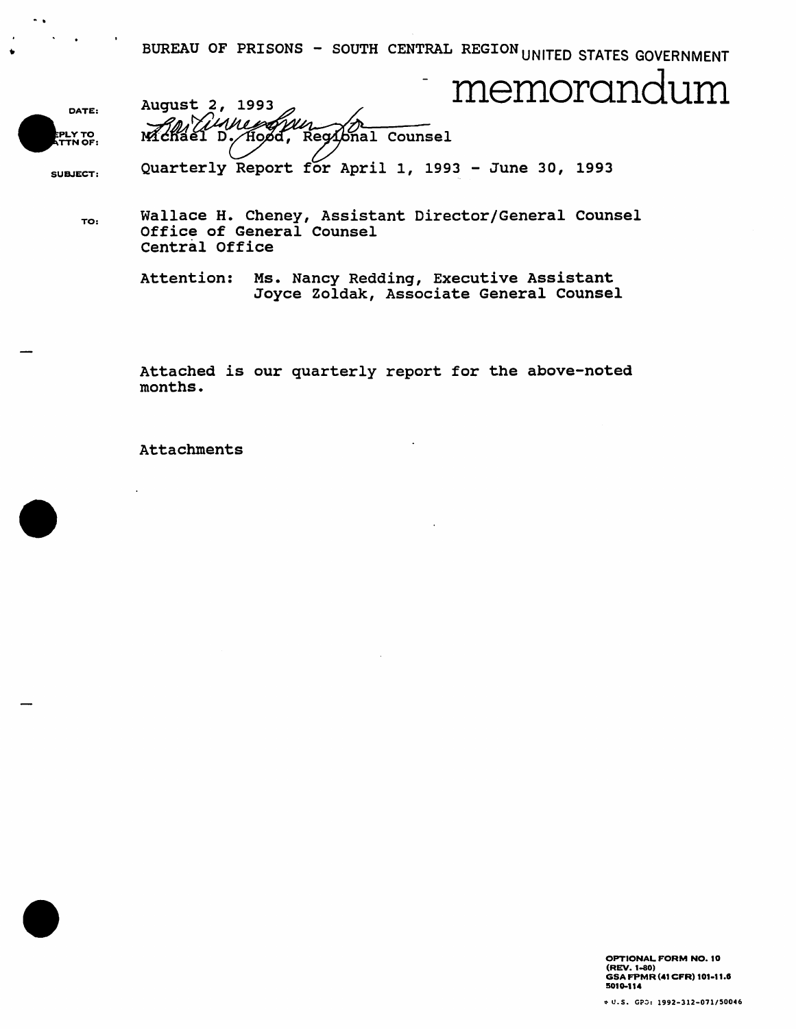BUREAU OF PRISONS - SOUTH CENTRAL REGION UNITED STATES GOVERNMENT

August 2, 1993 And The Morandum



-.

McKael D. Hood, Regional Counsel

SUBJECT:

Quarterly Report for April 1, 1993 - June 30, 1993

TO: Wallace H. Cheney, Assistant Director/General Counsel Office of General Counsel Central Office

> Attention: Ms. Nancy Redding, Executive Assistant Joyce Zoldak, Associate General Counsel

Attached is our quarterly report for the above-noted months.

Attachments

OPTIONAL FORM NO. 10 (REV. 1-80) GSA FPMR (41 CFR) 101-11.8 5010-114

~ U.S. *G?,j, 1992-312-071/50046*